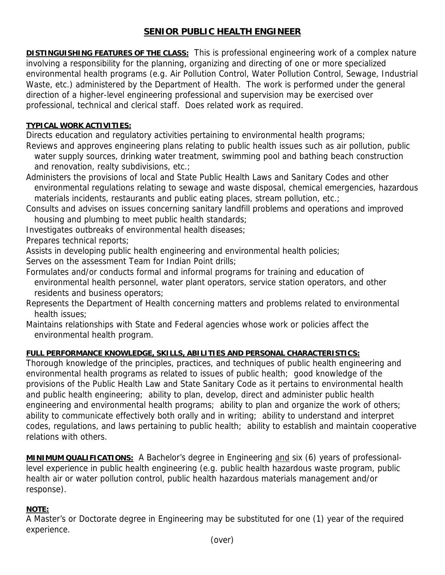# **SENIOR PUBLIC HEALTH ENGINEER**

**DISTINGUISHING FEATURES OF THE CLASS:** This is professional engineering work of a complex nature involving a responsibility for the planning, organizing and directing of one or more specialized environmental health programs (e.g. Air Pollution Control, Water Pollution Control, Sewage, Industrial Waste, etc.) administered by the Department of Health. The work is performed under the general direction of a higher-level engineering professional and supervision may be exercised over professional, technical and clerical staff. Does related work as required.

#### **TYPICAL WORK ACTIVITIES:**

Directs education and regulatory activities pertaining to environmental health programs;

Reviews and approves engineering plans relating to public health issues such as air pollution, public water supply sources, drinking water treatment, swimming pool and bathing beach construction and renovation, realty subdivisions, etc.;

Administers the provisions of local and State Public Health Laws and Sanitary Codes and other environmental regulations relating to sewage and waste disposal, chemical emergencies, hazardous materials incidents, restaurants and public eating places, stream pollution, etc.;

Consults and advises on issues concerning sanitary landfill problems and operations and improved housing and plumbing to meet public health standards;

Investigates outbreaks of environmental health diseases;

Prepares technical reports;

Assists in developing public health engineering and environmental health policies;

Serves on the assessment Team for Indian Point drills;

Formulates and/or conducts formal and informal programs for training and education of environmental health personnel, water plant operators, service station operators, and other residents and business operators;

- Represents the Department of Health concerning matters and problems related to environmental health issues;
- Maintains relationships with State and Federal agencies whose work or policies affect the environmental health program.

## **FULL PERFORMANCE KNOWLEDGE, SKILLS, ABILITIES AND PERSONAL CHARACTERISTICS:**

Thorough knowledge of the principles, practices, and techniques of public health engineering and environmental health programs as related to issues of public health; good knowledge of the provisions of the Public Health Law and State Sanitary Code as it pertains to environmental health and public health engineering; ability to plan, develop, direct and administer public health engineering and environmental health programs; ability to plan and organize the work of others; ability to communicate effectively both orally and in writing; ability to understand and interpret codes, regulations, and laws pertaining to public health; ability to establish and maintain cooperative relations with others.

**MINIMUM QUALIFICATIONS:** A Bachelor's degree in Engineering and six (6) years of professionallevel experience in public health engineering (e.g. public health hazardous waste program, public health air or water pollution control, public health hazardous materials management and/or response).

## **NOTE:**

A Master's or Doctorate degree in Engineering may be substituted for one (1) year of the required experience.